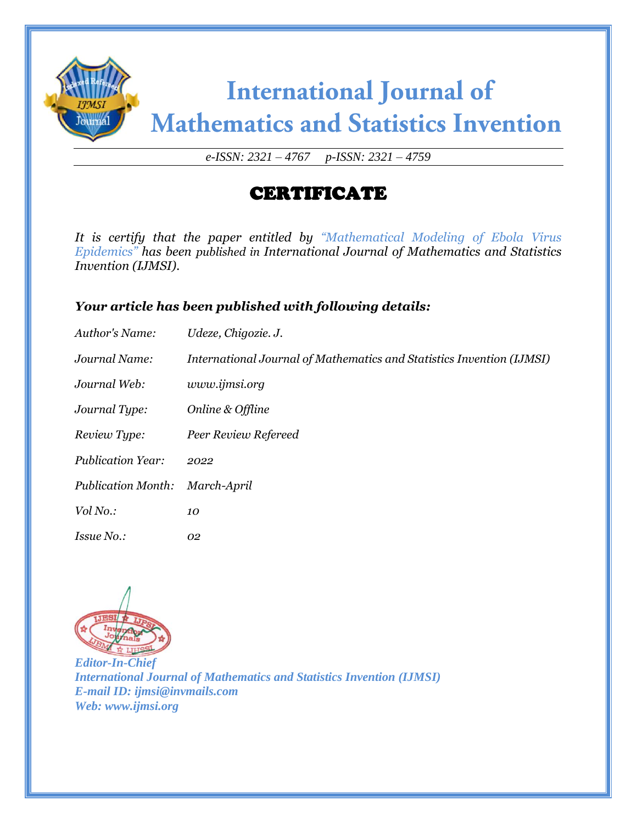

*e-ISSN: 2321 – 4767 p-ISSN: 2321 – 4759*

## CERTIFICATE

*It is certify that the paper entitled by "Mathematical Modeling of Ebola Virus Epidemics" has been published in International Journal of Mathematics and Statistics Invention (IJMSI).*

### *Your article has been published with following details:*

| Author's Name:            | Udeze, Chigozie. J.                                                   |
|---------------------------|-----------------------------------------------------------------------|
| Journal Name:             | International Journal of Mathematics and Statistics Invention (IJMSI) |
| Journal Web:              | www.ijmsi.org                                                         |
| Journal Type:             | Online & Offline                                                      |
| Review Type:              | Peer Review Refereed                                                  |
| <b>Publication Year:</b>  | 2022                                                                  |
| <b>Publication Month:</b> | March-April                                                           |
| Vol No.:                  | 10                                                                    |
| <i>Issue No.:</i>         | 02                                                                    |

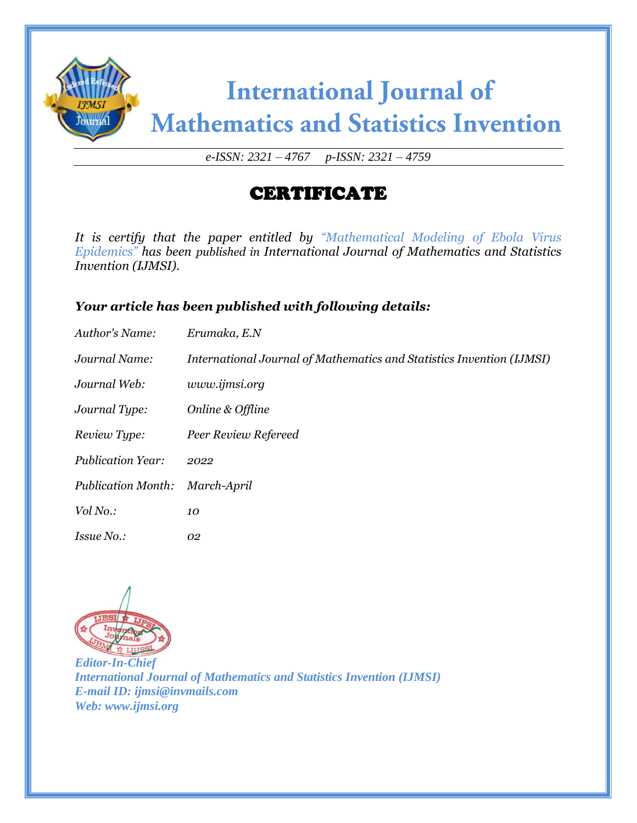

*e-ISSN: 2321 – 4767 p-ISSN: 2321 – 4759*

## CERTIFICATE

*It is certify that the paper entitled by "Mathematical Modeling of Ebola Virus Epidemics" has been published in International Journal of Mathematics and Statistics Invention (IJMSI).*

#### *Your article has been published with following details:*

| Author's Name:            | Erumaka, E.N                                                          |
|---------------------------|-----------------------------------------------------------------------|
| Journal Name:             | International Journal of Mathematics and Statistics Invention (IJMSI) |
| Journal Web:              | www.ijmsi.org                                                         |
| Journal Type:             | Online & Offline                                                      |
| Review Type:              | Peer Review Refereed                                                  |
| <b>Publication Year:</b>  | 2022                                                                  |
| <b>Publication Month:</b> | March-April                                                           |
| Vol No.:                  | 10                                                                    |
| <i>Issue No.:</i>         | 02                                                                    |

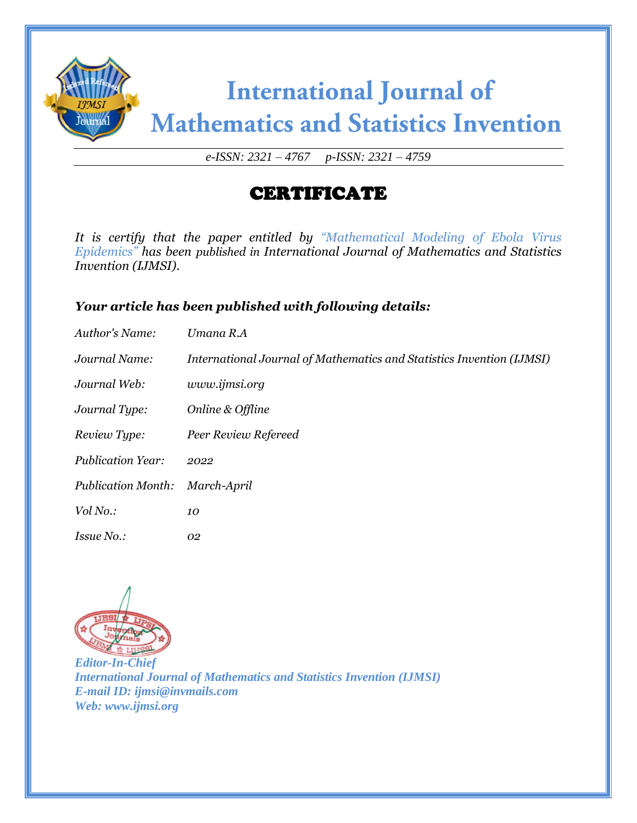

*e-ISSN: 2321 – 4767 p-ISSN: 2321 – 4759*

## CERTIFICATE

*It is certify that the paper entitled by "Mathematical Modeling of Ebola Virus Epidemics" has been published in International Journal of Mathematics and Statistics Invention (IJMSI).*

#### *Your article has been published with following details:*

| Author's Name:            | Umana R.A                                                             |
|---------------------------|-----------------------------------------------------------------------|
| Journal Name:             | International Journal of Mathematics and Statistics Invention (IJMSI) |
| Journal Web:              | www.ijmsi.org                                                         |
| Journal Type:             | Online & Offline                                                      |
| Review Type:              | Peer Review Refereed                                                  |
| <b>Publication Year:</b>  | 2022                                                                  |
| <b>Publication Month:</b> | March-April                                                           |
| Vol No.:                  | 10                                                                    |
| <i>Issue No.:</i>         | 02                                                                    |

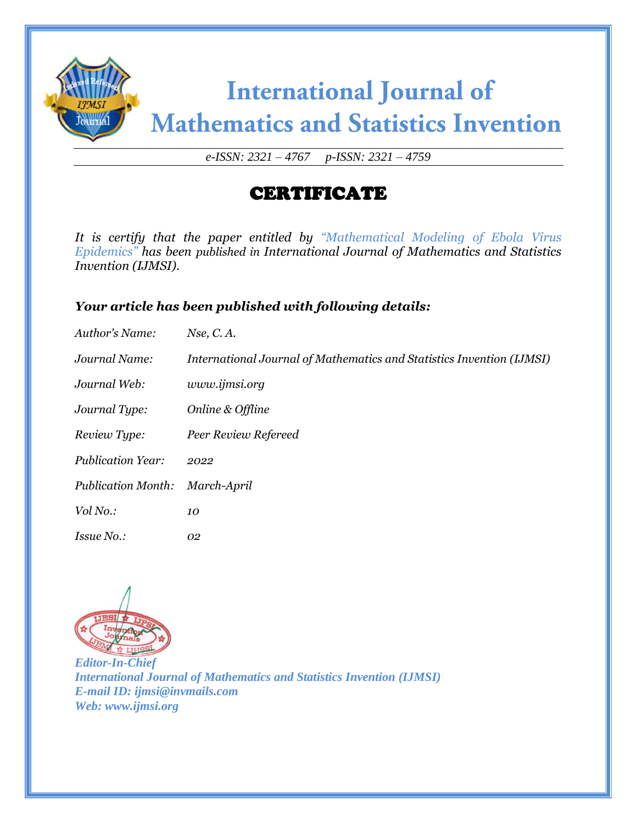

*e-ISSN: 2321 – 4767 p-ISSN: 2321 – 4759*

## CERTIFICATE

*It is certify that the paper entitled by "Mathematical Modeling of Ebola Virus Epidemics" has been published in International Journal of Mathematics and Statistics Invention (IJMSI).*

#### *Your article has been published with following details:*

| Author's Name:            | Nse, C. A.                                                            |
|---------------------------|-----------------------------------------------------------------------|
| Journal Name:             | International Journal of Mathematics and Statistics Invention (IJMSI) |
| Journal Web:              | www.ijmsi.org                                                         |
| Journal Type:             | Online & Offline                                                      |
| Review Type:              | Peer Review Refereed                                                  |
| <b>Publication Year:</b>  | 2022                                                                  |
| <b>Publication Month:</b> | March-April                                                           |
| Vol No.:                  | 10                                                                    |
| <i>Issue No.:</i>         | 02                                                                    |